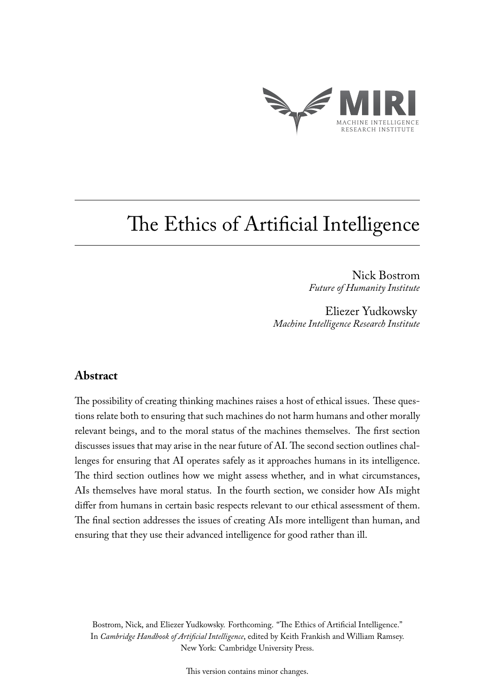

# The Ethics of Artificial Intelligence

Nick Bostrom *Future of Humanity Institute*

Eliezer Yudkowsky *Machine Intelligence Research Institute*

# **Abstract**

The possibility of creating thinking machines raises a host of ethical issues. These questions relate both to ensuring that such machines do not harm humans and other morally relevant beings, and to the moral status of the machines themselves. The first section discusses issues that may arise in the near future of AI. The second section outlines challenges for ensuring that AI operates safely as it approaches humans in its intelligence. The third section outlines how we might assess whether, and in what circumstances, AIs themselves have moral status. In the fourth section, we consider how AIs might differ from humans in certain basic respects relevant to our ethical assessment of them. The final section addresses the issues of creating AIs more intelligent than human, and ensuring that they use their advanced intelligence for good rather than ill.

Bostrom, Nick, and Eliezer Yudkowsky. Forthcoming. "The Ethics of Artificial Intelligence." In *Cambridge Handbook of Artificial Intelligence*, edited by Keith Frankish and William Ramsey. New York: Cambridge University Press.

This version contains minor changes.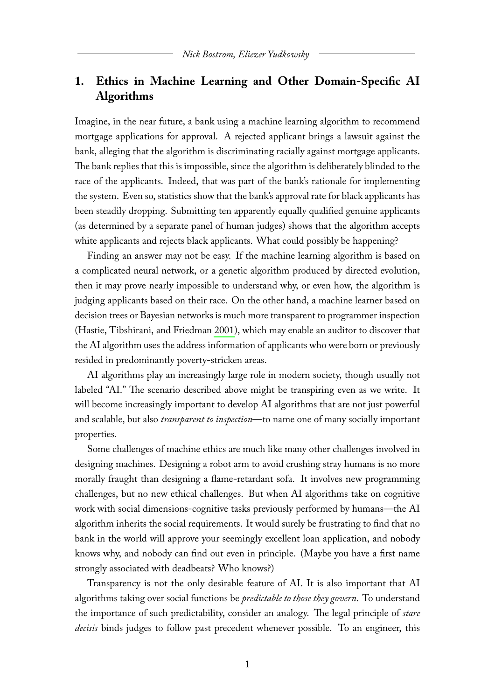# **1. Ethics in Machine Learning and Other Domain-Specific AI Algorithms**

Imagine, in the near future, a bank using a machine learning algorithm to recommend mortgage applications for approval. A rejected applicant brings a lawsuit against the bank, alleging that the algorithm is discriminating racially against mortgage applicants. The bank replies that this is impossible, since the algorithm is deliberately blinded to the race of the applicants. Indeed, that was part of the bank's rationale for implementing the system. Even so, statistics show that the bank's approval rate for black applicants has been steadily dropping. Submitting ten apparently equally qualified genuine applicants (as determined by a separate panel of human judges) shows that the algorithm accepts white applicants and rejects black applicants. What could possibly be happening?

Finding an answer may not be easy. If the machine learning algorithm is based on a complicated neural network, or a genetic algorithm produced by directed evolution, then it may prove nearly impossible to understand why, or even how, the algorithm is judging applicants based on their race. On the other hand, a machine learner based on decision trees or Bayesian networks is much more transparent to programmer inspection (Hastie, Tibshirani, and Friedman [2001\)](#page-19-0), which may enable an auditor to discover that the AI algorithm uses the address information of applicants who were born or previously resided in predominantly poverty-stricken areas.

AI algorithms play an increasingly large role in modern society, though usually not labeled "AI." The scenario described above might be transpiring even as we write. It will become increasingly important to develop AI algorithms that are not just powerful and scalable, but also *transparent to inspection*—to name one of many socially important properties.

Some challenges of machine ethics are much like many other challenges involved in designing machines. Designing a robot arm to avoid crushing stray humans is no more morally fraught than designing a flame-retardant sofa. It involves new programming challenges, but no new ethical challenges. But when AI algorithms take on cognitive work with social dimensions-cognitive tasks previously performed by humans—the AI algorithm inherits the social requirements. It would surely be frustrating to find that no bank in the world will approve your seemingly excellent loan application, and nobody knows why, and nobody can find out even in principle. (Maybe you have a first name strongly associated with deadbeats? Who knows?)

Transparency is not the only desirable feature of AI. It is also important that AI algorithms taking over social functions be *predictable to those they govern*. To understand the importance of such predictability, consider an analogy. The legal principle of *stare decisis* binds judges to follow past precedent whenever possible. To an engineer, this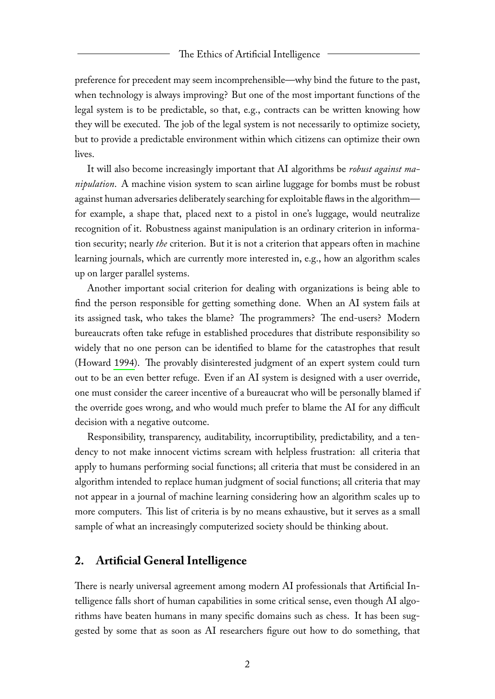preference for precedent may seem incomprehensible—why bind the future to the past, when technology is always improving? But one of the most important functions of the legal system is to be predictable, so that, e.g., contracts can be written knowing how they will be executed. The job of the legal system is not necessarily to optimize society, but to provide a predictable environment within which citizens can optimize their own lives.

It will also become increasingly important that AI algorithms be *robust against manipulation*. A machine vision system to scan airline luggage for bombs must be robust against human adversaries deliberately searching for exploitable flaws in the algorithm for example, a shape that, placed next to a pistol in one's luggage, would neutralize recognition of it. Robustness against manipulation is an ordinary criterion in information security; nearly *the* criterion. But it is not a criterion that appears often in machine learning journals, which are currently more interested in, e.g., how an algorithm scales up on larger parallel systems.

Another important social criterion for dealing with organizations is being able to find the person responsible for getting something done. When an AI system fails at its assigned task, who takes the blame? The programmers? The end-users? Modern bureaucrats often take refuge in established procedures that distribute responsibility so widely that no one person can be identified to blame for the catastrophes that result (Howard [1994\)](#page-19-1). The provably disinterested judgment of an expert system could turn out to be an even better refuge. Even if an AI system is designed with a user override, one must consider the career incentive of a bureaucrat who will be personally blamed if the override goes wrong, and who would much prefer to blame the AI for any difficult decision with a negative outcome.

Responsibility, transparency, auditability, incorruptibility, predictability, and a tendency to not make innocent victims scream with helpless frustration: all criteria that apply to humans performing social functions; all criteria that must be considered in an algorithm intended to replace human judgment of social functions; all criteria that may not appear in a journal of machine learning considering how an algorithm scales up to more computers. This list of criteria is by no means exhaustive, but it serves as a small sample of what an increasingly computerized society should be thinking about.

### **2. Artificial General Intelligence**

There is nearly universal agreement among modern AI professionals that Artificial Intelligence falls short of human capabilities in some critical sense, even though AI algorithms have beaten humans in many specific domains such as chess. It has been suggested by some that as soon as AI researchers figure out how to do something, that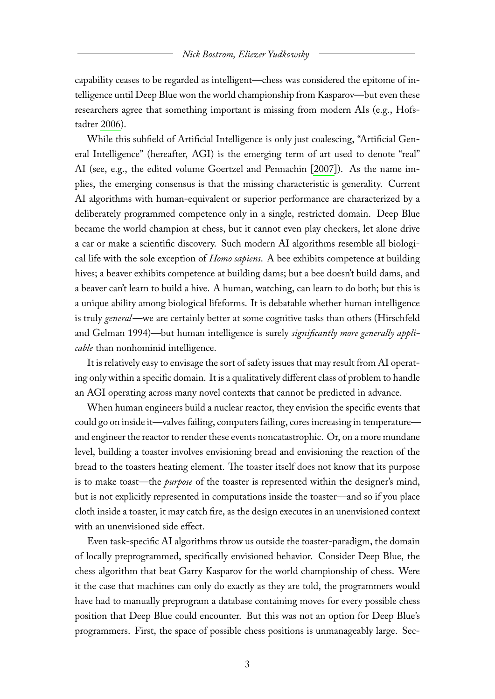capability ceases to be regarded as intelligent—chess was considered the epitome of intelligence until Deep Blue won the world championship from Kasparov—but even these researchers agree that something important is missing from modern AIs (e.g., Hofstadter [2006\)](#page-19-2).

While this subfield of Artificial Intelligence is only just coalescing, "Artificial General Intelligence" (hereafter, AGI) is the emerging term of art used to denote "real" AI (see, e.g., the edited volume Goertzel and Pennachin [\[2007\]](#page-19-3)). As the name implies, the emerging consensus is that the missing characteristic is generality. Current AI algorithms with human-equivalent or superior performance are characterized by a deliberately programmed competence only in a single, restricted domain. Deep Blue became the world champion at chess, but it cannot even play checkers, let alone drive a car or make a scientific discovery. Such modern AI algorithms resemble all biological life with the sole exception of *Homo sapiens*. A bee exhibits competence at building hives; a beaver exhibits competence at building dams; but a bee doesn't build dams, and a beaver can't learn to build a hive. A human, watching, can learn to do both; but this is a unique ability among biological lifeforms. It is debatable whether human intelligence is truly *general*—we are certainly better at some cognitive tasks than others (Hirschfeld and Gelman [1994\)](#page-19-4)—but human intelligence is surely *significantly more generally applicable* than nonhominid intelligence.

It is relatively easy to envisage the sort of safety issues that may result from AI operating only within a specific domain. It is a qualitatively different class of problem to handle an AGI operating across many novel contexts that cannot be predicted in advance.

When human engineers build a nuclear reactor, they envision the specific events that could go on inside it—valves failing, computers failing, cores increasing in temperature and engineer the reactor to render these events noncatastrophic. Or, on a more mundane level, building a toaster involves envisioning bread and envisioning the reaction of the bread to the toasters heating element. The toaster itself does not know that its purpose is to make toast—the *purpose* of the toaster is represented within the designer's mind, but is not explicitly represented in computations inside the toaster—and so if you place cloth inside a toaster, it may catch fire, as the design executes in an unenvisioned context with an unenvisioned side effect.

Even task-specific AI algorithms throw us outside the toaster-paradigm, the domain of locally preprogrammed, specifically envisioned behavior. Consider Deep Blue, the chess algorithm that beat Garry Kasparov for the world championship of chess. Were it the case that machines can only do exactly as they are told, the programmers would have had to manually preprogram a database containing moves for every possible chess position that Deep Blue could encounter. But this was not an option for Deep Blue's programmers. First, the space of possible chess positions is unmanageably large. Sec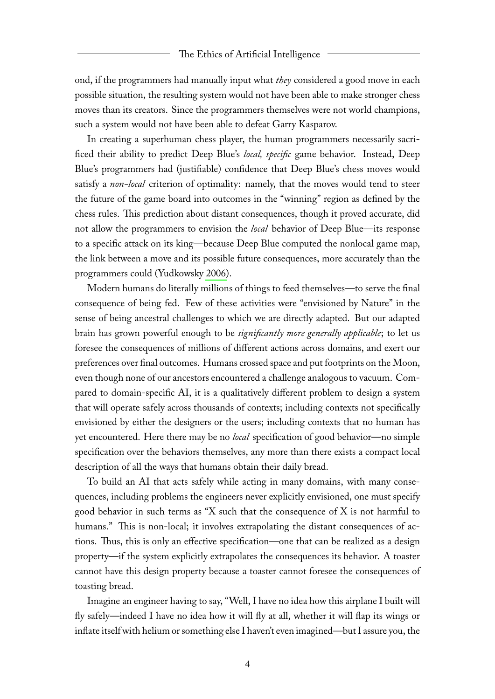ond, if the programmers had manually input what *they* considered a good move in each possible situation, the resulting system would not have been able to make stronger chess moves than its creators. Since the programmers themselves were not world champions, such a system would not have been able to defeat Garry Kasparov.

In creating a superhuman chess player, the human programmers necessarily sacrificed their ability to predict Deep Blue's *local, specific* game behavior. Instead, Deep Blue's programmers had (justifiable) confidence that Deep Blue's chess moves would satisfy a *non-local* criterion of optimality: namely, that the moves would tend to steer the future of the game board into outcomes in the "winning" region as defined by the chess rules. This prediction about distant consequences, though it proved accurate, did not allow the programmers to envision the *local* behavior of Deep Blue—its response to a specific attack on its king—because Deep Blue computed the nonlocal game map, the link between a move and its possible future consequences, more accurately than the programmers could (Yudkowsky [2006\)](#page-20-0).

Modern humans do literally millions of things to feed themselves—to serve the final consequence of being fed. Few of these activities were "envisioned by Nature" in the sense of being ancestral challenges to which we are directly adapted. But our adapted brain has grown powerful enough to be *significantly more generally applicable*; to let us foresee the consequences of millions of different actions across domains, and exert our preferences over final outcomes. Humans crossed space and put footprints on the Moon, even though none of our ancestors encountered a challenge analogous to vacuum. Compared to domain-specific AI, it is a qualitatively different problem to design a system that will operate safely across thousands of contexts; including contexts not specifically envisioned by either the designers or the users; including contexts that no human has yet encountered. Here there may be no *local* specification of good behavior—no simple specification over the behaviors themselves, any more than there exists a compact local description of all the ways that humans obtain their daily bread.

To build an AI that acts safely while acting in many domains, with many consequences, including problems the engineers never explicitly envisioned, one must specify good behavior in such terms as "X such that the consequence of X is not harmful to humans." This is non-local; it involves extrapolating the distant consequences of actions. Thus, this is only an effective specification—one that can be realized as a design property—if the system explicitly extrapolates the consequences its behavior. A toaster cannot have this design property because a toaster cannot foresee the consequences of toasting bread.

Imagine an engineer having to say, "Well, I have no idea how this airplane I built will fly safely—indeed I have no idea how it will fly at all, whether it will flap its wings or inflate itself with helium or something else I haven't even imagined—but I assure you, the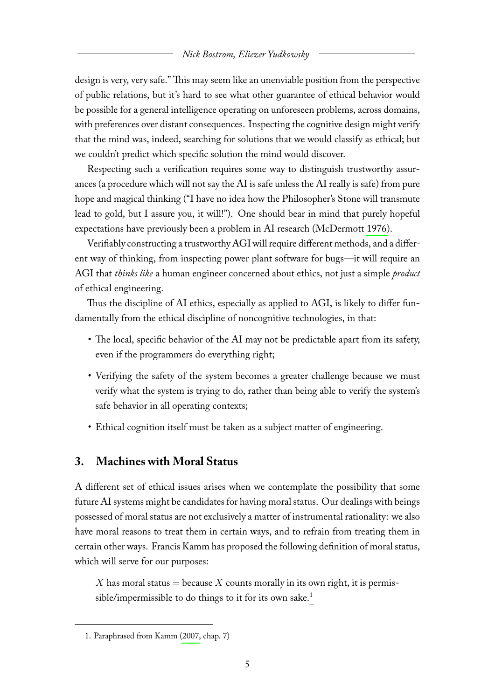design is very, very safe." This may seem like an unenviable position from the perspective of public relations, but it's hard to see what other guarantee of ethical behavior would be possible for a general intelligence operating on unforeseen problems, across domains, with preferences over distant consequences. Inspecting the cognitive design might verify that the mind was, indeed, searching for solutions that we would classify as ethical; but we couldn't predict which specific solution the mind would discover.

Respecting such a verification requires some way to distinguish trustworthy assurances (a procedure which will not say the AI is safe unless the AI really is safe) from pure hope and magical thinking ("I have no idea how the Philosopher's Stone will transmute lead to gold, but I assure you, it will!"). One should bear in mind that purely hopeful expectations have previously been a problem in AI research (McDermott [1976\)](#page-19-5).

Verifiably constructing a trustworthy AGI will require different methods, and a different way of thinking, from inspecting power plant software for bugs—it will require an AGI that *thinks like* a human engineer concerned about ethics, not just a simple *product* of ethical engineering.

Thus the discipline of AI ethics, especially as applied to AGI, is likely to differ fundamentally from the ethical discipline of noncognitive technologies, in that:

- The local, specific behavior of the AI may not be predictable apart from its safety, even if the programmers do everything right;
- Verifying the safety of the system becomes a greater challenge because we must verify what the system is trying to do, rather than being able to verify the system's safe behavior in all operating contexts;
- Ethical cognition itself must be taken as a subject matter of engineering.

## **3. Machines with Moral Status**

A different set of ethical issues arises when we contemplate the possibility that some future AI systems might be candidates for having moral status. Our dealings with beings possessed of moral status are not exclusively a matter of instrumental rationality: we also have moral reasons to treat them in certain ways, and to refrain from treating them in certain other ways. Francis Kamm has proposed the following definition of moral status, which will serve for our purposes:

X has moral status = because X counts morally in its own right, it is permis-sible/impermissible to do things to it for its own sake.<sup>[1](#page-5-0)</sup>

<span id="page-5-0"></span><sup>1.</sup> Paraphrased from Kamm [\(2007,](#page-19-6) chap. 7)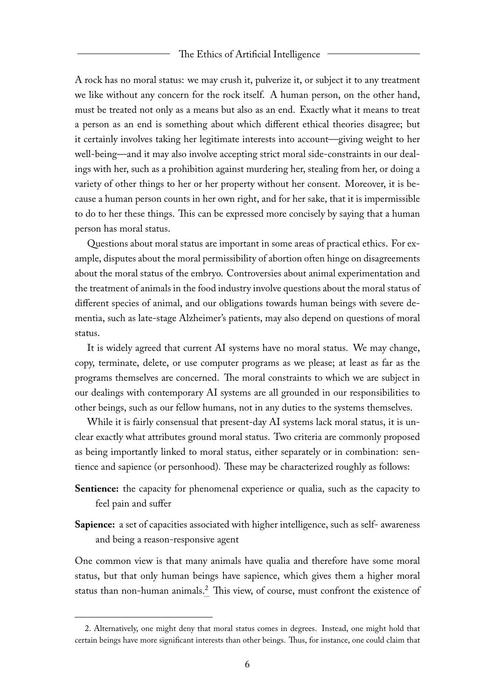A rock has no moral status: we may crush it, pulverize it, or subject it to any treatment we like without any concern for the rock itself. A human person, on the other hand, must be treated not only as a means but also as an end. Exactly what it means to treat a person as an end is something about which different ethical theories disagree; but it certainly involves taking her legitimate interests into account—giving weight to her well-being—and it may also involve accepting strict moral side-constraints in our dealings with her, such as a prohibition against murdering her, stealing from her, or doing a variety of other things to her or her property without her consent. Moreover, it is because a human person counts in her own right, and for her sake, that it is impermissible to do to her these things. This can be expressed more concisely by saying that a human person has moral status.

Questions about moral status are important in some areas of practical ethics. For example, disputes about the moral permissibility of abortion often hinge on disagreements about the moral status of the embryo. Controversies about animal experimentation and the treatment of animals in the food industry involve questions about the moral status of different species of animal, and our obligations towards human beings with severe dementia, such as late-stage Alzheimer's patients, may also depend on questions of moral status.

It is widely agreed that current AI systems have no moral status. We may change, copy, terminate, delete, or use computer programs as we please; at least as far as the programs themselves are concerned. The moral constraints to which we are subject in our dealings with contemporary AI systems are all grounded in our responsibilities to other beings, such as our fellow humans, not in any duties to the systems themselves.

While it is fairly consensual that present-day AI systems lack moral status, it is unclear exactly what attributes ground moral status. Two criteria are commonly proposed as being importantly linked to moral status, either separately or in combination: sentience and sapience (or personhood). These may be characterized roughly as follows:

- **Sentience:** the capacity for phenomenal experience or qualia, such as the capacity to feel pain and suffer
- **Sapience:** a set of capacities associated with higher intelligence, such as self-awareness and being a reason-responsive agent

One common view is that many animals have qualia and therefore have some moral status, but that only human beings have sapience, which gives them a higher moral status than non-human animals.<sup>[2](#page-6-0)</sup> This view, of course, must confront the existence of

<span id="page-6-0"></span><sup>2.</sup> Alternatively, one might deny that moral status comes in degrees. Instead, one might hold that certain beings have more significant interests than other beings. Thus, for instance, one could claim that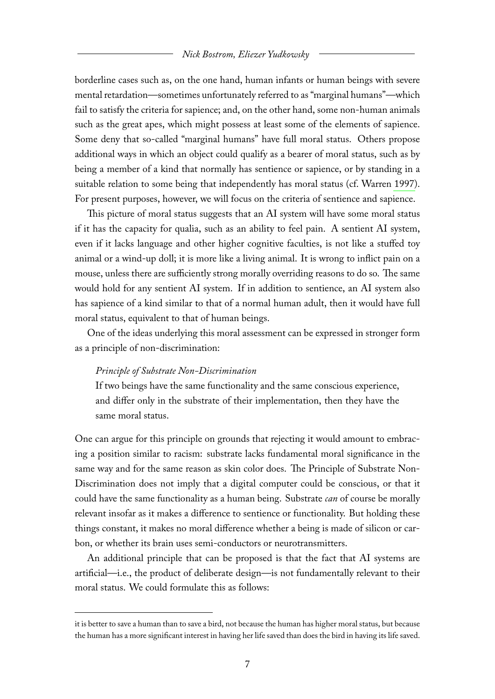borderline cases such as, on the one hand, human infants or human beings with severe mental retardation—sometimes unfortunately referred to as "marginal humans"—which fail to satisfy the criteria for sapience; and, on the other hand, some non-human animals such as the great apes, which might possess at least some of the elements of sapience. Some deny that so-called "marginal humans" have full moral status. Others propose additional ways in which an object could qualify as a bearer of moral status, such as by being a member of a kind that normally has sentience or sapience, or by standing in a suitable relation to some being that independently has moral status (cf. Warren [1997\)](#page-20-1). For present purposes, however, we will focus on the criteria of sentience and sapience.

This picture of moral status suggests that an AI system will have some moral status if it has the capacity for qualia, such as an ability to feel pain. A sentient AI system, even if it lacks language and other higher cognitive faculties, is not like a stuffed toy animal or a wind-up doll; it is more like a living animal. It is wrong to inflict pain on a mouse, unless there are sufficiently strong morally overriding reasons to do so. The same would hold for any sentient AI system. If in addition to sentience, an AI system also has sapience of a kind similar to that of a normal human adult, then it would have full moral status, equivalent to that of human beings.

One of the ideas underlying this moral assessment can be expressed in stronger form as a principle of non-discrimination:

#### *Principle of Substrate Non-Discrimination*

If two beings have the same functionality and the same conscious experience, and differ only in the substrate of their implementation, then they have the same moral status.

One can argue for this principle on grounds that rejecting it would amount to embracing a position similar to racism: substrate lacks fundamental moral significance in the same way and for the same reason as skin color does. The Principle of Substrate Non-Discrimination does not imply that a digital computer could be conscious, or that it could have the same functionality as a human being. Substrate *can* of course be morally relevant insofar as it makes a difference to sentience or functionality. But holding these things constant, it makes no moral difference whether a being is made of silicon or carbon, or whether its brain uses semi-conductors or neurotransmitters.

An additional principle that can be proposed is that the fact that AI systems are artificial—i.e., the product of deliberate design—is not fundamentally relevant to their moral status. We could formulate this as follows:

it is better to save a human than to save a bird, not because the human has higher moral status, but because the human has a more significant interest in having her life saved than does the bird in having its life saved.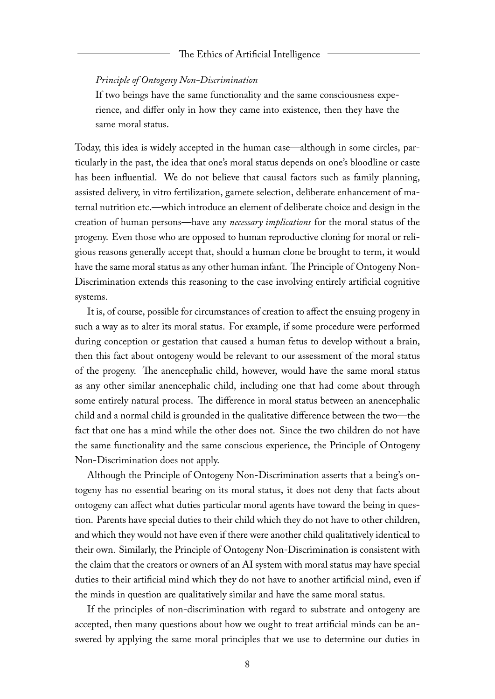#### *Principle of Ontogeny Non-Discrimination*

If two beings have the same functionality and the same consciousness experience, and differ only in how they came into existence, then they have the same moral status.

Today, this idea is widely accepted in the human case—although in some circles, particularly in the past, the idea that one's moral status depends on one's bloodline or caste has been influential. We do not believe that causal factors such as family planning, assisted delivery, in vitro fertilization, gamete selection, deliberate enhancement of maternal nutrition etc.—which introduce an element of deliberate choice and design in the creation of human persons—have any *necessary implications* for the moral status of the progeny. Even those who are opposed to human reproductive cloning for moral or religious reasons generally accept that, should a human clone be brought to term, it would have the same moral status as any other human infant. The Principle of Ontogeny Non-Discrimination extends this reasoning to the case involving entirely artificial cognitive systems.

It is, of course, possible for circumstances of creation to affect the ensuing progeny in such a way as to alter its moral status. For example, if some procedure were performed during conception or gestation that caused a human fetus to develop without a brain, then this fact about ontogeny would be relevant to our assessment of the moral status of the progeny. The anencephalic child, however, would have the same moral status as any other similar anencephalic child, including one that had come about through some entirely natural process. The difference in moral status between an anencephalic child and a normal child is grounded in the qualitative difference between the two—the fact that one has a mind while the other does not. Since the two children do not have the same functionality and the same conscious experience, the Principle of Ontogeny Non-Discrimination does not apply.

Although the Principle of Ontogeny Non-Discrimination asserts that a being's ontogeny has no essential bearing on its moral status, it does not deny that facts about ontogeny can affect what duties particular moral agents have toward the being in question. Parents have special duties to their child which they do not have to other children, and which they would not have even if there were another child qualitatively identical to their own. Similarly, the Principle of Ontogeny Non-Discrimination is consistent with the claim that the creators or owners of an AI system with moral status may have special duties to their artificial mind which they do not have to another artificial mind, even if the minds in question are qualitatively similar and have the same moral status.

If the principles of non-discrimination with regard to substrate and ontogeny are accepted, then many questions about how we ought to treat artificial minds can be answered by applying the same moral principles that we use to determine our duties in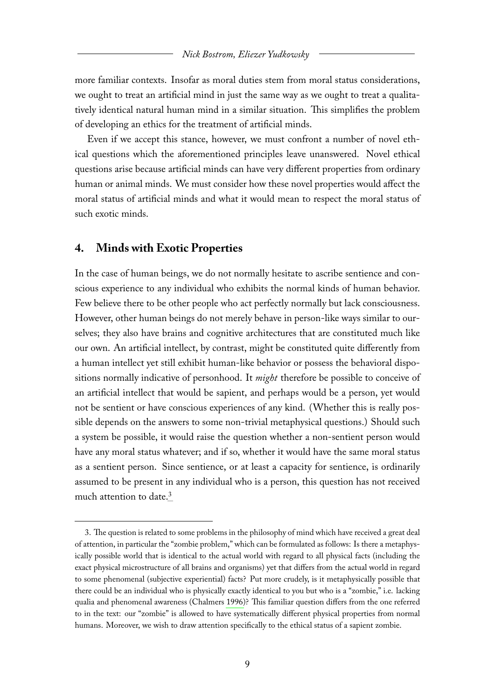more familiar contexts. Insofar as moral duties stem from moral status considerations, we ought to treat an artificial mind in just the same way as we ought to treat a qualitatively identical natural human mind in a similar situation. This simplifies the problem of developing an ethics for the treatment of artificial minds.

Even if we accept this stance, however, we must confront a number of novel ethical questions which the aforementioned principles leave unanswered. Novel ethical questions arise because artificial minds can have very different properties from ordinary human or animal minds. We must consider how these novel properties would affect the moral status of artificial minds and what it would mean to respect the moral status of such exotic minds.

## **4. Minds with Exotic Properties**

In the case of human beings, we do not normally hesitate to ascribe sentience and conscious experience to any individual who exhibits the normal kinds of human behavior. Few believe there to be other people who act perfectly normally but lack consciousness. However, other human beings do not merely behave in person-like ways similar to ourselves; they also have brains and cognitive architectures that are constituted much like our own. An artificial intellect, by contrast, might be constituted quite differently from a human intellect yet still exhibit human-like behavior or possess the behavioral dispositions normally indicative of personhood. It *might* therefore be possible to conceive of an artificial intellect that would be sapient, and perhaps would be a person, yet would not be sentient or have conscious experiences of any kind. (Whether this is really possible depends on the answers to some non-trivial metaphysical questions.) Should such a system be possible, it would raise the question whether a non-sentient person would have any moral status whatever; and if so, whether it would have the same moral status as a sentient person. Since sentience, or at least a capacity for sentience, is ordinarily assumed to be present in any individual who is a person, this question has not received much attention to date.<sup>[3](#page-9-0)</sup>

<span id="page-9-0"></span><sup>3.</sup> The question is related to some problems in the philosophy of mind which have received a great deal of attention, in particular the "zombie problem," which can be formulated as follows: Is there a metaphysically possible world that is identical to the actual world with regard to all physical facts (including the exact physical microstructure of all brains and organisms) yet that differs from the actual world in regard to some phenomenal (subjective experiential) facts? Put more crudely, is it metaphysically possible that there could be an individual who is physically exactly identical to you but who is a "zombie," i.e. lacking qualia and phenomenal awareness (Chalmers [1996\)](#page-19-7)? This familiar question differs from the one referred to in the text: our "zombie" is allowed to have systematically different physical properties from normal humans. Moreover, we wish to draw attention specifically to the ethical status of a sapient zombie.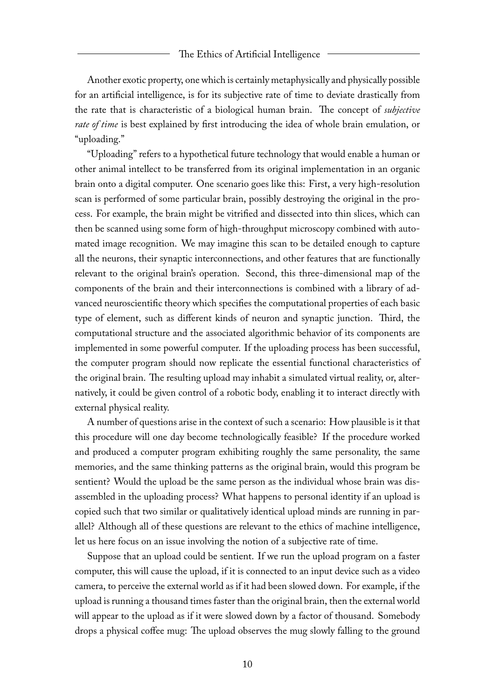Another exotic property, one which is certainly metaphysically and physically possible for an artificial intelligence, is for its subjective rate of time to deviate drastically from the rate that is characteristic of a biological human brain. The concept of *subjective rate of time* is best explained by first introducing the idea of whole brain emulation, or "uploading."

"Uploading" refers to a hypothetical future technology that would enable a human or other animal intellect to be transferred from its original implementation in an organic brain onto a digital computer. One scenario goes like this: First, a very high-resolution scan is performed of some particular brain, possibly destroying the original in the process. For example, the brain might be vitrified and dissected into thin slices, which can then be scanned using some form of high-throughput microscopy combined with automated image recognition. We may imagine this scan to be detailed enough to capture all the neurons, their synaptic interconnections, and other features that are functionally relevant to the original brain's operation. Second, this three-dimensional map of the components of the brain and their interconnections is combined with a library of advanced neuroscientific theory which specifies the computational properties of each basic type of element, such as different kinds of neuron and synaptic junction. Third, the computational structure and the associated algorithmic behavior of its components are implemented in some powerful computer. If the uploading process has been successful, the computer program should now replicate the essential functional characteristics of the original brain. The resulting upload may inhabit a simulated virtual reality, or, alternatively, it could be given control of a robotic body, enabling it to interact directly with external physical reality.

A number of questions arise in the context of such a scenario: How plausible is it that this procedure will one day become technologically feasible? If the procedure worked and produced a computer program exhibiting roughly the same personality, the same memories, and the same thinking patterns as the original brain, would this program be sentient? Would the upload be the same person as the individual whose brain was disassembled in the uploading process? What happens to personal identity if an upload is copied such that two similar or qualitatively identical upload minds are running in parallel? Although all of these questions are relevant to the ethics of machine intelligence, let us here focus on an issue involving the notion of a subjective rate of time.

Suppose that an upload could be sentient. If we run the upload program on a faster computer, this will cause the upload, if it is connected to an input device such as a video camera, to perceive the external world as if it had been slowed down. For example, if the upload is running a thousand times faster than the original brain, then the external world will appear to the upload as if it were slowed down by a factor of thousand. Somebody drops a physical coffee mug: The upload observes the mug slowly falling to the ground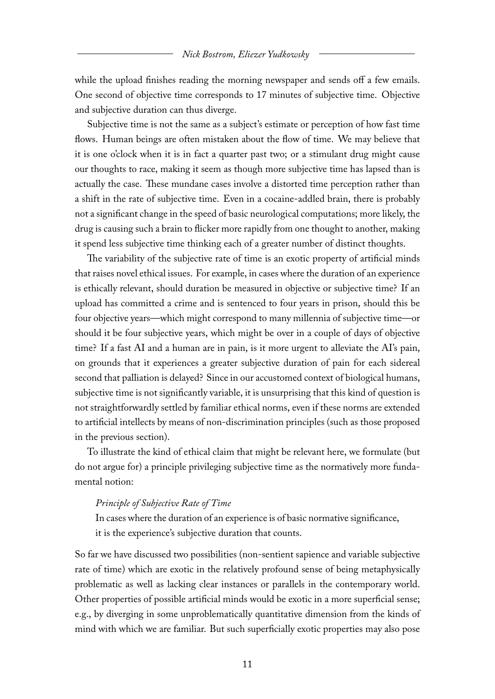while the upload finishes reading the morning newspaper and sends off a few emails. One second of objective time corresponds to 17 minutes of subjective time. Objective and subjective duration can thus diverge.

Subjective time is not the same as a subject's estimate or perception of how fast time flows. Human beings are often mistaken about the flow of time. We may believe that it is one o'clock when it is in fact a quarter past two; or a stimulant drug might cause our thoughts to race, making it seem as though more subjective time has lapsed than is actually the case. These mundane cases involve a distorted time perception rather than a shift in the rate of subjective time. Even in a cocaine-addled brain, there is probably not a significant change in the speed of basic neurological computations; more likely, the drug is causing such a brain to flicker more rapidly from one thought to another, making it spend less subjective time thinking each of a greater number of distinct thoughts.

The variability of the subjective rate of time is an exotic property of artificial minds that raises novel ethical issues. For example, in cases where the duration of an experience is ethically relevant, should duration be measured in objective or subjective time? If an upload has committed a crime and is sentenced to four years in prison, should this be four objective years—which might correspond to many millennia of subjective time—or should it be four subjective years, which might be over in a couple of days of objective time? If a fast AI and a human are in pain, is it more urgent to alleviate the AI's pain, on grounds that it experiences a greater subjective duration of pain for each sidereal second that palliation is delayed? Since in our accustomed context of biological humans, subjective time is not significantly variable, it is unsurprising that this kind of question is not straightforwardly settled by familiar ethical norms, even if these norms are extended to artificial intellects by means of non-discrimination principles (such as those proposed in the previous section).

To illustrate the kind of ethical claim that might be relevant here, we formulate (but do not argue for) a principle privileging subjective time as the normatively more fundamental notion:

#### *Principle of Subjective Rate of Time*

In cases where the duration of an experience is of basic normative significance, it is the experience's subjective duration that counts.

So far we have discussed two possibilities (non-sentient sapience and variable subjective rate of time) which are exotic in the relatively profound sense of being metaphysically problematic as well as lacking clear instances or parallels in the contemporary world. Other properties of possible artificial minds would be exotic in a more superficial sense; e.g., by diverging in some unproblematically quantitative dimension from the kinds of mind with which we are familiar. But such superficially exotic properties may also pose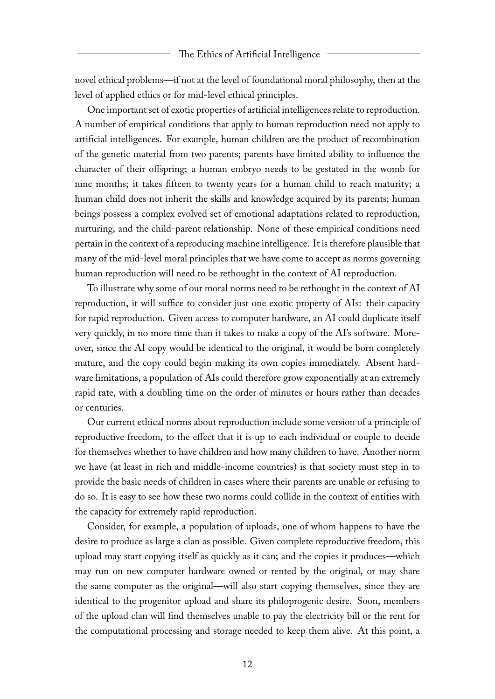novel ethical problems—if not at the level of foundational moral philosophy, then at the level of applied ethics or for mid-level ethical principles.

One important set of exotic properties of artificial intelligences relate to reproduction. A number of empirical conditions that apply to human reproduction need not apply to artificial intelligences. For example, human children are the product of recombination of the genetic material from two parents; parents have limited ability to influence the character of their offspring; a human embryo needs to be gestated in the womb for nine months; it takes fifteen to twenty years for a human child to reach maturity; a human child does not inherit the skills and knowledge acquired by its parents; human beings possess a complex evolved set of emotional adaptations related to reproduction, nurturing, and the child-parent relationship. None of these empirical conditions need pertain in the context of a reproducing machine intelligence. It is therefore plausible that many of the mid-level moral principles that we have come to accept as norms governing human reproduction will need to be rethought in the context of AI reproduction.

To illustrate why some of our moral norms need to be rethought in the context of AI reproduction, it will suffice to consider just one exotic property of AIs: their capacity for rapid reproduction. Given access to computer hardware, an AI could duplicate itself very quickly, in no more time than it takes to make a copy of the AI's software. Moreover, since the AI copy would be identical to the original, it would be born completely mature, and the copy could begin making its own copies immediately. Absent hardware limitations, a population of AIs could therefore grow exponentially at an extremely rapid rate, with a doubling time on the order of minutes or hours rather than decades or centuries.

Our current ethical norms about reproduction include some version of a principle of reproductive freedom, to the effect that it is up to each individual or couple to decide for themselves whether to have children and how many children to have. Another norm we have (at least in rich and middle-income countries) is that society must step in to provide the basic needs of children in cases where their parents are unable or refusing to do so. It is easy to see how these two norms could collide in the context of entities with the capacity for extremely rapid reproduction.

Consider, for example, a population of uploads, one of whom happens to have the desire to produce as large a clan as possible. Given complete reproductive freedom, this upload may start copying itself as quickly as it can; and the copies it produces—which may run on new computer hardware owned or rented by the original, or may share the same computer as the original—will also start copying themselves, since they are identical to the progenitor upload and share its philoprogenic desire. Soon, members of the upload clan will find themselves unable to pay the electricity bill or the rent for the computational processing and storage needed to keep them alive. At this point, a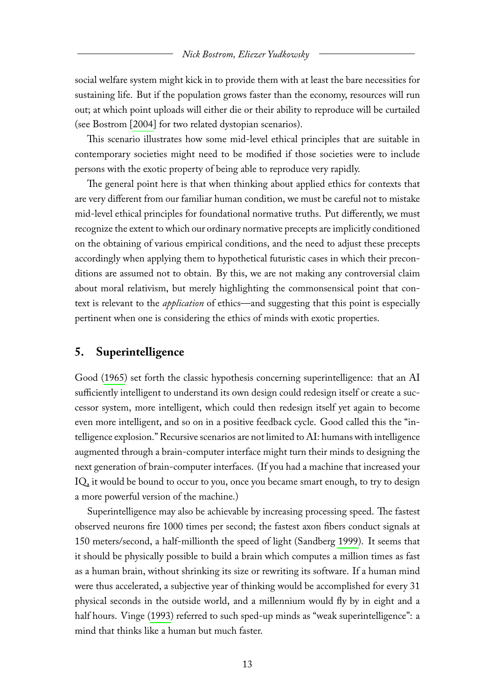social welfare system might kick in to provide them with at least the bare necessities for sustaining life. But if the population grows faster than the economy, resources will run out; at which point uploads will either die or their ability to reproduce will be curtailed (see Bostrom [\[2004\]](#page-19-8) for two related dystopian scenarios).

This scenario illustrates how some mid-level ethical principles that are suitable in contemporary societies might need to be modified if those societies were to include persons with the exotic property of being able to reproduce very rapidly.

The general point here is that when thinking about applied ethics for contexts that are very different from our familiar human condition, we must be careful not to mistake mid-level ethical principles for foundational normative truths. Put differently, we must recognize the extent to which our ordinary normative precepts are implicitly conditioned on the obtaining of various empirical conditions, and the need to adjust these precepts accordingly when applying them to hypothetical futuristic cases in which their preconditions are assumed not to obtain. By this, we are not making any controversial claim about moral relativism, but merely highlighting the commonsensical point that context is relevant to the *application* of ethics—and suggesting that this point is especially pertinent when one is considering the ethics of minds with exotic properties.

## **5. Superintelligence**

Good [\(1965\)](#page-19-9) set forth the classic hypothesis concerning superintelligence: that an AI sufficiently intelligent to understand its own design could redesign itself or create a successor system, more intelligent, which could then redesign itself yet again to become even more intelligent, and so on in a positive feedback cycle. Good called this the "intelligence explosion." Recursive scenarios are not limited to AI: humans with intelligence augmented through a brain-computer interface might turn their minds to designing the next generation of brain-computer interfaces. (If you had a machine that increased your IQ, it would be bound to occur to you, once you became smart enough, to try to design a more powerful version of the machine.)

Superintelligence may also be achievable by increasing processing speed. The fastest observed neurons fire 1000 times per second; the fastest axon fibers conduct signals at 150 meters/second, a half-millionth the speed of light (Sandberg [1999\)](#page-20-2). It seems that it should be physically possible to build a brain which computes a million times as fast as a human brain, without shrinking its size or rewriting its software. If a human mind were thus accelerated, a subjective year of thinking would be accomplished for every 31 physical seconds in the outside world, and a millennium would fly by in eight and a half hours. Vinge [\(1993\)](#page-20-3) referred to such sped-up minds as "weak superintelligence": a mind that thinks like a human but much faster.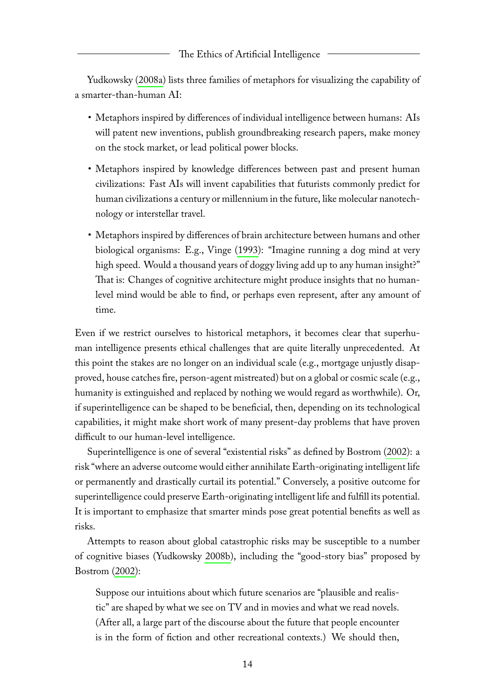#### The Ethics of Artificial Intelligence

Yudkowsky [\(2008a\)](#page-20-4) lists three families of metaphors for visualizing the capability of a smarter-than-human AI:

- Metaphors inspired by differences of individual intelligence between humans: AIs will patent new inventions, publish groundbreaking research papers, make money on the stock market, or lead political power blocks.
- Metaphors inspired by knowledge differences between past and present human civilizations: Fast AIs will invent capabilities that futurists commonly predict for human civilizations a century or millennium in the future, like molecular nanotechnology or interstellar travel.
- Metaphors inspired by differences of brain architecture between humans and other biological organisms: E.g., Vinge [\(1993\)](#page-20-3): "Imagine running a dog mind at very high speed. Would a thousand years of doggy living add up to any human insight?" That is: Changes of cognitive architecture might produce insights that no humanlevel mind would be able to find, or perhaps even represent, after any amount of time.

Even if we restrict ourselves to historical metaphors, it becomes clear that superhuman intelligence presents ethical challenges that are quite literally unprecedented. At this point the stakes are no longer on an individual scale (e.g., mortgage unjustly disapproved, house catches fire, person-agent mistreated) but on a global or cosmic scale (e.g., humanity is extinguished and replaced by nothing we would regard as worthwhile). Or, if superintelligence can be shaped to be beneficial, then, depending on its technological capabilities, it might make short work of many present-day problems that have proven difficult to our human-level intelligence.

Superintelligence is one of several "existential risks" as defined by Bostrom [\(2002\)](#page-19-10): a risk "where an adverse outcome would either annihilate Earth-originating intelligent life or permanently and drastically curtail its potential." Conversely, a positive outcome for superintelligence could preserve Earth-originating intelligent life and fulfill its potential. It is important to emphasize that smarter minds pose great potential benefits as well as risks.

Attempts to reason about global catastrophic risks may be susceptible to a number of cognitive biases (Yudkowsky [2008b\)](#page-20-5), including the "good-story bias" proposed by Bostrom [\(2002\)](#page-19-10):

Suppose our intuitions about which future scenarios are "plausible and realistic" are shaped by what we see on TV and in movies and what we read novels. (After all, a large part of the discourse about the future that people encounter is in the form of fiction and other recreational contexts.) We should then,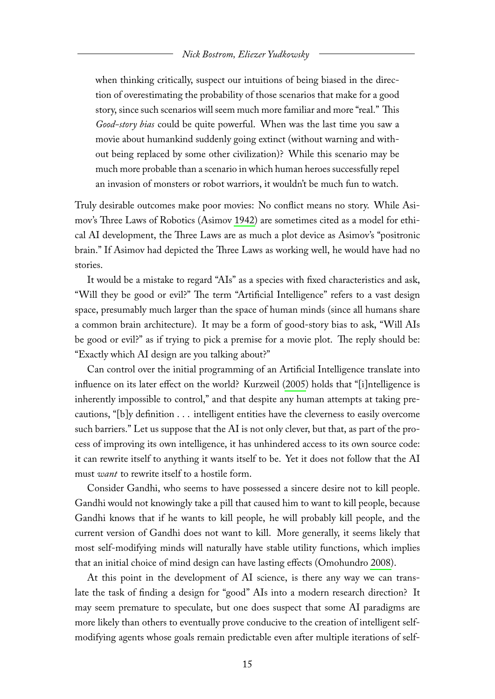when thinking critically, suspect our intuitions of being biased in the direction of overestimating the probability of those scenarios that make for a good story, since such scenarios will seem much more familiar and more "real." This *Good-story bias* could be quite powerful. When was the last time you saw a movie about humankind suddenly going extinct (without warning and without being replaced by some other civilization)? While this scenario may be much more probable than a scenario in which human heroes successfully repel an invasion of monsters or robot warriors, it wouldn't be much fun to watch.

Truly desirable outcomes make poor movies: No conflict means no story. While Asimov's Three Laws of Robotics (Asimov [1942\)](#page-19-11) are sometimes cited as a model for ethical AI development, the Three Laws are as much a plot device as Asimov's "positronic brain." If Asimov had depicted the Three Laws as working well, he would have had no stories.

It would be a mistake to regard "AIs" as a species with fixed characteristics and ask, "Will they be good or evil?" The term "Artificial Intelligence" refers to a vast design space, presumably much larger than the space of human minds (since all humans share a common brain architecture). It may be a form of good-story bias to ask, "Will AIs be good or evil?" as if trying to pick a premise for a movie plot. The reply should be: "Exactly which AI design are you talking about?"

Can control over the initial programming of an Artificial Intelligence translate into influence on its later effect on the world? Kurzweil [\(2005\)](#page-19-12) holds that "[i]ntelligence is inherently impossible to control," and that despite any human attempts at taking precautions, "[b]y definition . . . intelligent entities have the cleverness to easily overcome such barriers." Let us suppose that the AI is not only clever, but that, as part of the process of improving its own intelligence, it has unhindered access to its own source code: it can rewrite itself to anything it wants itself to be. Yet it does not follow that the AI must *want* to rewrite itself to a hostile form.

Consider Gandhi, who seems to have possessed a sincere desire not to kill people. Gandhi would not knowingly take a pill that caused him to want to kill people, because Gandhi knows that if he wants to kill people, he will probably kill people, and the current version of Gandhi does not want to kill. More generally, it seems likely that most self-modifying minds will naturally have stable utility functions, which implies that an initial choice of mind design can have lasting effects (Omohundro [2008\)](#page-19-13).

At this point in the development of AI science, is there any way we can translate the task of finding a design for "good" AIs into a modern research direction? It may seem premature to speculate, but one does suspect that some AI paradigms are more likely than others to eventually prove conducive to the creation of intelligent selfmodifying agents whose goals remain predictable even after multiple iterations of self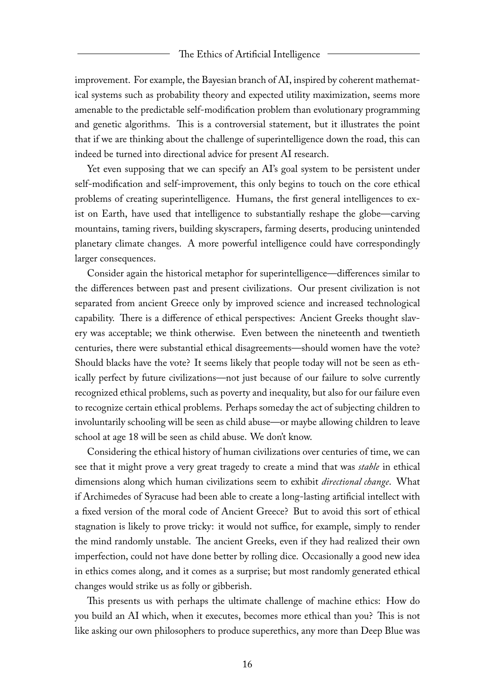improvement. For example, the Bayesian branch of AI, inspired by coherent mathematical systems such as probability theory and expected utility maximization, seems more amenable to the predictable self-modification problem than evolutionary programming and genetic algorithms. This is a controversial statement, but it illustrates the point that if we are thinking about the challenge of superintelligence down the road, this can indeed be turned into directional advice for present AI research.

Yet even supposing that we can specify an AI's goal system to be persistent under self-modification and self-improvement, this only begins to touch on the core ethical problems of creating superintelligence. Humans, the first general intelligences to exist on Earth, have used that intelligence to substantially reshape the globe—carving mountains, taming rivers, building skyscrapers, farming deserts, producing unintended planetary climate changes. A more powerful intelligence could have correspondingly larger consequences.

Consider again the historical metaphor for superintelligence—differences similar to the differences between past and present civilizations. Our present civilization is not separated from ancient Greece only by improved science and increased technological capability. There is a difference of ethical perspectives: Ancient Greeks thought slavery was acceptable; we think otherwise. Even between the nineteenth and twentieth centuries, there were substantial ethical disagreements—should women have the vote? Should blacks have the vote? It seems likely that people today will not be seen as ethically perfect by future civilizations—not just because of our failure to solve currently recognized ethical problems, such as poverty and inequality, but also for our failure even to recognize certain ethical problems. Perhaps someday the act of subjecting children to involuntarily schooling will be seen as child abuse—or maybe allowing children to leave school at age 18 will be seen as child abuse. We don't know.

Considering the ethical history of human civilizations over centuries of time, we can see that it might prove a very great tragedy to create a mind that was *stable* in ethical dimensions along which human civilizations seem to exhibit *directional change*. What if Archimedes of Syracuse had been able to create a long-lasting artificial intellect with a fixed version of the moral code of Ancient Greece? But to avoid this sort of ethical stagnation is likely to prove tricky: it would not suffice, for example, simply to render the mind randomly unstable. The ancient Greeks, even if they had realized their own imperfection, could not have done better by rolling dice. Occasionally a good new idea in ethics comes along, and it comes as a surprise; but most randomly generated ethical changes would strike us as folly or gibberish.

This presents us with perhaps the ultimate challenge of machine ethics: How do you build an AI which, when it executes, becomes more ethical than you? This is not like asking our own philosophers to produce superethics, any more than Deep Blue was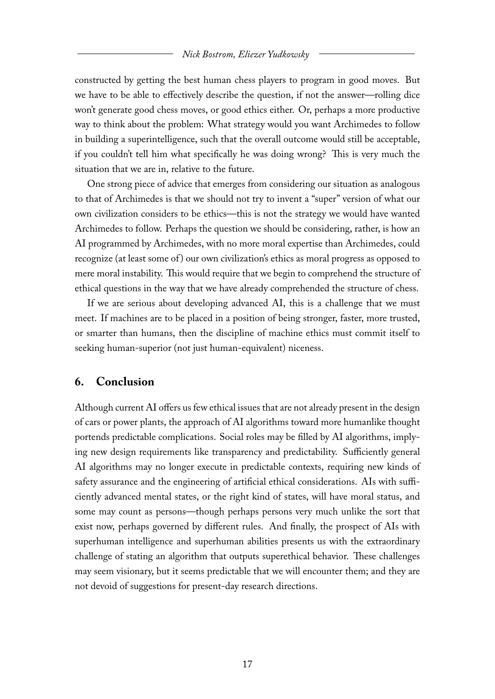constructed by getting the best human chess players to program in good moves. But we have to be able to effectively describe the question, if not the answer—rolling dice won't generate good chess moves, or good ethics either. Or, perhaps a more productive way to think about the problem: What strategy would you want Archimedes to follow in building a superintelligence, such that the overall outcome would still be acceptable, if you couldn't tell him what specifically he was doing wrong? This is very much the situation that we are in, relative to the future.

One strong piece of advice that emerges from considering our situation as analogous to that of Archimedes is that we should not try to invent a "super" version of what our own civilization considers to be ethics—this is not the strategy we would have wanted Archimedes to follow. Perhaps the question we should be considering, rather, is how an AI programmed by Archimedes, with no more moral expertise than Archimedes, could recognize (at least some of ) our own civilization's ethics as moral progress as opposed to mere moral instability. This would require that we begin to comprehend the structure of ethical questions in the way that we have already comprehended the structure of chess.

If we are serious about developing advanced AI, this is a challenge that we must meet. If machines are to be placed in a position of being stronger, faster, more trusted, or smarter than humans, then the discipline of machine ethics must commit itself to seeking human-superior (not just human-equivalent) niceness.

## **6. Conclusion**

Although current AI offers us few ethical issues that are not already present in the design of cars or power plants, the approach of AI algorithms toward more humanlike thought portends predictable complications. Social roles may be filled by AI algorithms, implying new design requirements like transparency and predictability. Sufficiently general AI algorithms may no longer execute in predictable contexts, requiring new kinds of safety assurance and the engineering of artificial ethical considerations. AIs with sufficiently advanced mental states, or the right kind of states, will have moral status, and some may count as persons—though perhaps persons very much unlike the sort that exist now, perhaps governed by different rules. And finally, the prospect of AIs with superhuman intelligence and superhuman abilities presents us with the extraordinary challenge of stating an algorithm that outputs superethical behavior. These challenges may seem visionary, but it seems predictable that we will encounter them; and they are not devoid of suggestions for present-day research directions.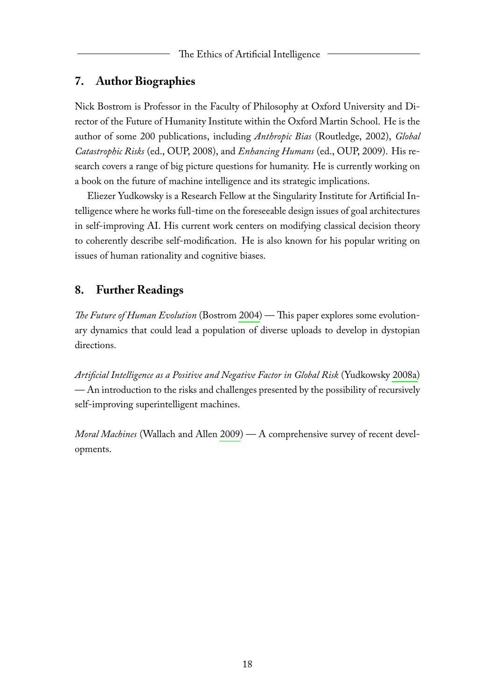# **7. Author Biographies**

Nick Bostrom is Professor in the Faculty of Philosophy at Oxford University and Director of the Future of Humanity Institute within the Oxford Martin School. He is the author of some 200 publications, including *Anthropic Bias* (Routledge, 2002), *Global Catastrophic Risks* (ed., OUP, 2008), and *Enhancing Humans* (ed., OUP, 2009). His research covers a range of big picture questions for humanity. He is currently working on a book on the future of machine intelligence and its strategic implications.

Eliezer Yudkowsky is a Research Fellow at the Singularity Institute for Artificial Intelligence where he works full-time on the foreseeable design issues of goal architectures in self-improving AI. His current work centers on modifying classical decision theory to coherently describe self-modification. He is also known for his popular writing on issues of human rationality and cognitive biases.

# **8. Further Readings**

*The Future of Human Evolution* (Bostrom [2004\)](#page-19-8) — This paper explores some evolutionary dynamics that could lead a population of diverse uploads to develop in dystopian directions.

*Artificial Intelligence as a Positive and Negative Factor in Global Risk* (Yudkowsky [2008a\)](#page-20-4) — An introduction to the risks and challenges presented by the possibility of recursively self-improving superintelligent machines.

*Moral Machines* (Wallach and Allen [2009\)](#page-20-6) — A comprehensive survey of recent developments.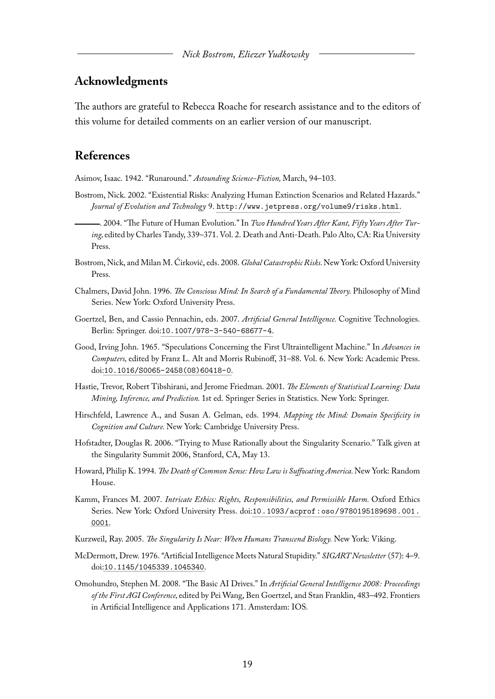## **Acknowledgments**

The authors are grateful to Rebecca Roache for research assistance and to the editors of this volume for detailed comments on an earlier version of our manuscript.

## **References**

<span id="page-19-11"></span>Asimov, Isaac. 1942. "Runaround." *Astounding Science-Fiction,* March, 94–103.

- <span id="page-19-10"></span>Bostrom, Nick. 2002. "Existential Risks: Analyzing Human Extinction Scenarios and Related Hazards." *Journal of Evolution and Technology* 9. <http://www.jetpress.org/volume9/risks.html>.
- <span id="page-19-8"></span>. 2004. "The Future of Human Evolution." In *Two Hundred Years After Kant, Fifty Years After Turing,* edited by Charles Tandy, 339–371. Vol. 2. Death and Anti-Death. Palo Alto, CA: Ria University Press.
- <span id="page-19-14"></span>Bostrom, Nick, and Milan M. Ćirković, eds. 2008. *Global Catastrophic Risks.*New York: Oxford University Press.
- <span id="page-19-7"></span>Chalmers, David John. 1996. *The Conscious Mind: In Search of a Fundamental Theory.* Philosophy of Mind Series. New York: Oxford University Press.
- <span id="page-19-3"></span>Goertzel, Ben, and Cassio Pennachin, eds. 2007. *Artificial General Intelligence.* Cognitive Technologies. Berlin: Springer. doi:[10.1007/978-3-540-68677-4](http://dx.doi.org/10.1007/978-3-540-68677-4).
- <span id="page-19-9"></span>Good, Irving John. 1965. "Speculations Concerning the First Ultraintelligent Machine." In *Advances in Computers,* edited by Franz L. Alt and Morris Rubinoff, 31–88. Vol. 6. New York: Academic Press. doi:[10.1016/S0065-2458\(08\)60418-0](http://dx.doi.org/10.1016/S0065-2458(08)60418-0).
- <span id="page-19-0"></span>Hastie, Trevor, Robert Tibshirani, and Jerome Friedman. 2001. *The Elements of Statistical Learning: Data Mining, Inference, and Prediction.* 1st ed. Springer Series in Statistics. New York: Springer.
- <span id="page-19-4"></span>Hirschfeld, Lawrence A., and Susan A. Gelman, eds. 1994. *Mapping the Mind: Domain Specificity in Cognition and Culture.* New York: Cambridge University Press.
- <span id="page-19-2"></span>Hofstadter, Douglas R. 2006. "Trying to Muse Rationally about the Singularity Scenario." Talk given at the Singularity Summit 2006, Stanford, CA, May 13.
- <span id="page-19-1"></span>Howard, Philip K. 1994. *The Death of Common Sense: How Law is Suffocating America.*New York: Random House.
- <span id="page-19-6"></span>Kamm, Frances M. 2007. *Intricate Ethics: Rights, Responsibilities, and Permissible Harm.* Oxford Ethics Series. New York: Oxford University Press. doi:[10.1093/acprof:oso/9780195189698.001.](http://dx.doi.org/10.1093/acprof:oso/9780195189698.001.0001) [0001](http://dx.doi.org/10.1093/acprof:oso/9780195189698.001.0001).
- <span id="page-19-12"></span>Kurzweil, Ray. 2005. *The Singularity Is Near: When Humans Transcend Biology.* New York: Viking.
- <span id="page-19-5"></span>McDermott, Drew. 1976. "Artificial Intelligence Meets Natural Stupidity." *SIGART Newsletter* (57): 4–9. doi:[10.1145/1045339.1045340](http://dx.doi.org/10.1145/1045339.1045340).
- <span id="page-19-13"></span>Omohundro, Stephen M. 2008. "The Basic AI Drives." In *Artificial General Intelligence 2008: Proceedings of the First AGI Conference,* edited by Pei Wang, Ben Goertzel, and Stan Franklin, 483–492. Frontiers in Artificial Intelligence and Applications 171. Amsterdam: IOS.